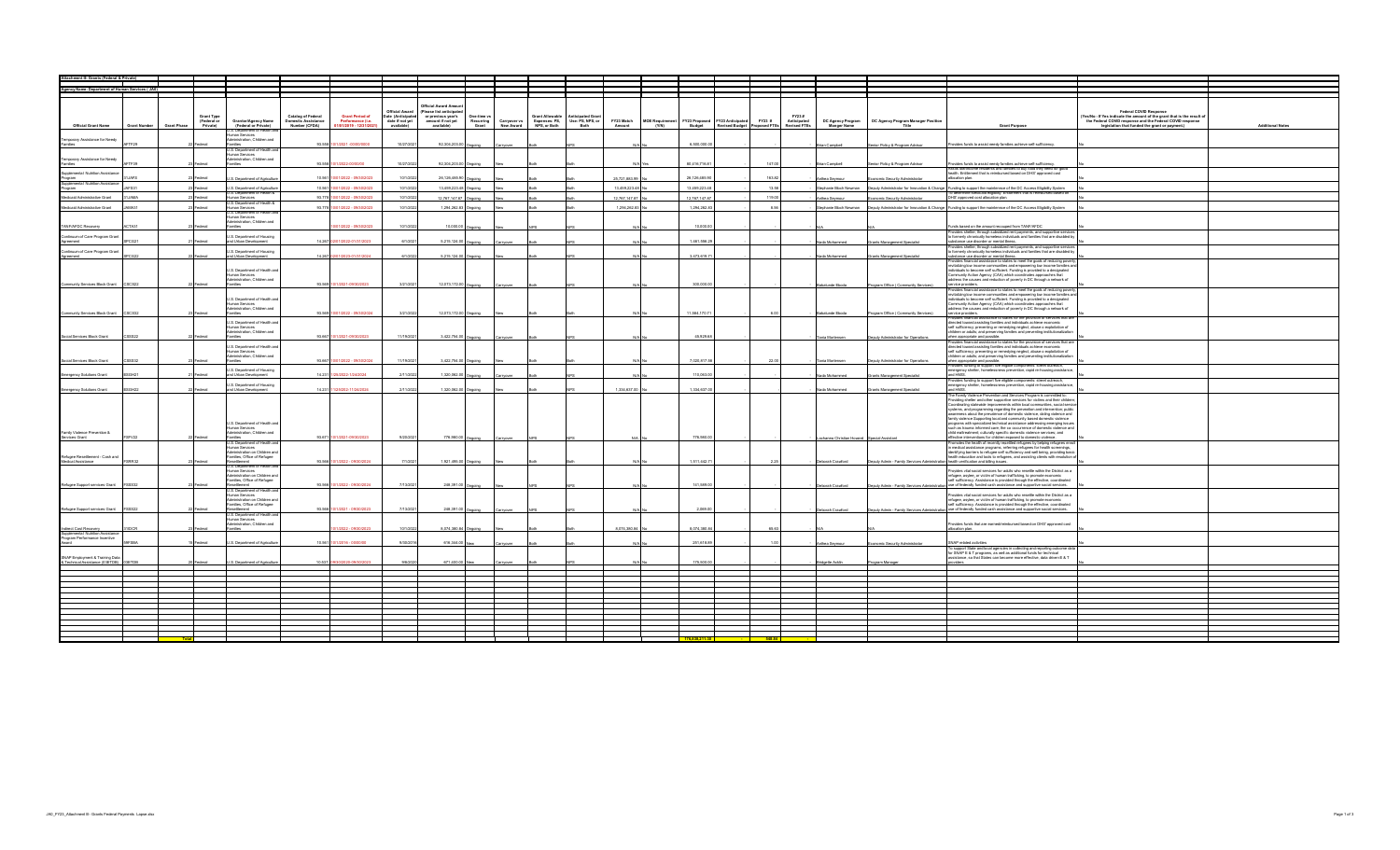| Attachment II- Grants (Federal & Private)                                 |                     |                    |                                                   |                                                                                                                 |                                                            |                                                              |                                                                    |                                                                                                                   |                      |                                     |                                 |                                                                   |                                                         |                              |                                                        |                                       |                                         |                                             |                                                                                                                                                                                                                                                                                                                                                                                                                                                                                                                                                                                                                                                                                                                                                                                          |                                                                                                                                                                                                                |                         |
|---------------------------------------------------------------------------|---------------------|--------------------|---------------------------------------------------|-----------------------------------------------------------------------------------------------------------------|------------------------------------------------------------|--------------------------------------------------------------|--------------------------------------------------------------------|-------------------------------------------------------------------------------------------------------------------|----------------------|-------------------------------------|---------------------------------|-------------------------------------------------------------------|---------------------------------------------------------|------------------------------|--------------------------------------------------------|---------------------------------------|-----------------------------------------|---------------------------------------------|------------------------------------------------------------------------------------------------------------------------------------------------------------------------------------------------------------------------------------------------------------------------------------------------------------------------------------------------------------------------------------------------------------------------------------------------------------------------------------------------------------------------------------------------------------------------------------------------------------------------------------------------------------------------------------------------------------------------------------------------------------------------------------------|----------------------------------------------------------------------------------------------------------------------------------------------------------------------------------------------------------------|-------------------------|
|                                                                           |                     |                    |                                                   |                                                                                                                 |                                                            |                                                              |                                                                    |                                                                                                                   |                      |                                     |                                 |                                                                   |                                                         |                              |                                                        |                                       |                                         |                                             |                                                                                                                                                                                                                                                                                                                                                                                                                                                                                                                                                                                                                                                                                                                                                                                          |                                                                                                                                                                                                                |                         |
| Agency Name: Department of Human Services ( JA0)                          |                     |                    |                                                   |                                                                                                                 |                                                            |                                                              |                                                                    |                                                                                                                   |                      |                                     |                                 |                                                                   |                                                         |                              |                                                        |                                       |                                         |                                             |                                                                                                                                                                                                                                                                                                                                                                                                                                                                                                                                                                                                                                                                                                                                                                                          |                                                                                                                                                                                                                |                         |
| <b>Official Grant Name</b>                                                | <b>Grant Number</b> | <b>Grant Phase</b> | Grant Type<br>(Federal or<br>Private <sup>1</sup> | <b>Grantor/Agency Name</b><br>(Federal or Private)<br>U.S. Department of Health                                 | Catalog of Federal<br>Domestic Assistance<br>Number (CFDA) | <b>Grant Period of</b><br>Performance (i.e.<br>1/2019 - 12/3 | Official Award<br>Date (Anticipate<br>date if not yet<br>available | <b>Official Award Amount</b><br>(Please list anticipated<br>or previous year's<br>amount if not yet<br>available) | One-time vs<br>Grant | Recurring Carryover vs<br>New Award | Grant Allowable<br>NPS, or Both | <b>Anticipated Gran</b><br>Expenses: PS, Use: PS, NPS, or<br>Both | FY23 Match<br><b>MOE Requirement</b><br>(Y/N)<br>Amount | FY23 Proposed<br>Budget      | FY23 Anticipated FY23 #<br>Revised Budget Proposed FTE | FY23 #<br>Anticipated<br>Revised FTEs | DC Agency Program<br>Manger Name        | DC Agency Program Manager Position<br>Title | <b>Grant Purpose</b>                                                                                                                                                                                                                                                                                                                                                                                                                                                                                                                                                                                                                                                                                                                                                                     | Federal COVID Response<br>Yes/No - If Yes indicate the amount of the grant that is the result o<br>the Federal COVID response and the Federal COVID response<br>legislation that funded the grant or payment.) | <b>Additional Notes</b> |
| emporary Assistance for Need <sub>)</sub>                                 |                     |                    |                                                   | Human Services<br>Administration, Children and                                                                  |                                                            |                                                              | 10/27/20                                                           | 92,304,203.00 Ongoing                                                                                             |                      |                                     |                                 |                                                                   |                                                         | 6,500,000.                   |                                                        |                                       |                                         |                                             | Provides funds to assist needy families achieve self-sufficiency.                                                                                                                                                                                                                                                                                                                                                                                                                                                                                                                                                                                                                                                                                                                        |                                                                                                                                                                                                                |                         |
| emporary Assistance for Needy                                             |                     |                    |                                                   | Families<br>U.S. Department of Health a<br>Human Services<br>Administration, Children and                       |                                                            |                                                              |                                                                    |                                                                                                                   |                      | Carryove                            |                                 |                                                                   |                                                         |                              |                                                        |                                       | Brian Campbell                          | Senior Policy & Program Advisor             |                                                                                                                                                                                                                                                                                                                                                                                                                                                                                                                                                                                                                                                                                                                                                                                          |                                                                                                                                                                                                                |                         |
| emental Nutrition Assi                                                    | ETESO               |                    |                                                   | Families                                                                                                        | 93,558                                                     |                                                              | 10/27/20<br>10/1/20                                                | 92,304,203.00 Orgoin                                                                                              |                      |                                     |                                 |                                                                   |                                                         | 80.416.716.8                 | 147.0<br>163.8                                         |                                       | Irian Campbell                          | nior Policy & Program Adviso                | Provides funds to assist needy families achieve self-sufficiency.<br>Assits low-income residents and families to buy food they need for good<br>health. Entitlement that is reimbursed based on DHS' approved cost                                                                                                                                                                                                                                                                                                                                                                                                                                                                                                                                                                       |                                                                                                                                                                                                                |                         |
| Program<br>pplemental Nutrition As                                        | 31JAFS<br>JAES31    |                    | Federal<br>23 Federal                             | U.S. Department of Agricultur                                                                                   | 10.561<br>10.561 1                                         | 1022 - 09/30/2023                                            | 10/1/202                                                           | 26,126,485.90<br>13,459,223.48                                                                                    |                      |                                     |                                 |                                                                   | 25.721.883.99<br>13,459,223.48                          | 26,126,485.9<br>13,459,223.4 | 13.58                                                  |                                       | Anthea Seymour                          | mic Security Administrato                   | alocation plan.                                                                                                                                                                                                                                                                                                                                                                                                                                                                                                                                                                                                                                                                                                                                                                          |                                                                                                                                                                                                                |                         |
| Program<br>ledicaid Administrative Grant                                  | 1.10340             |                    | Federal                                           | U.S. Department of Agricultur<br>U.S. Department of Health &                                                    | 93,778                                                     |                                                              | 10/1/20                                                            |                                                                                                                   |                      |                                     |                                 |                                                                   |                                                         |                              | 119.00                                                 |                                       | tephanie Bloch Newman                   | puty Administrator for Innovation & Chang   | ge Funding to support the maintennoe of the DC Access Eligibility System<br>To determine Medicaid eligibility. Entitlement that is reimbursed based on                                                                                                                                                                                                                                                                                                                                                                                                                                                                                                                                                                                                                                   |                                                                                                                                                                                                                |                         |
| Medicaid Administrative Grant                                             | JAMA31              |                    | 23 Federal                                        | Human Services<br>U.S. Department of Health &<br>Human Services                                                 | 93,778                                                     | 2022 - 09/30/2023                                            | 10/1/202                                                           | 12,767,147.87<br>1,294,262.83 Ongo                                                                                |                      |                                     |                                 |                                                                   | 12,767,147.87<br>1,294,262.83                           | 12,767,147.8<br>1,294,262.8  | 8.56                                                   |                                       | nthea Seymour<br>Stephanie Bloch Newman | tomic Security Administrat                  | DHS' approved cost allocation plan.<br>eputy Administrator for Innovation & Change Funding to support the maintennice of the DC Access Eligibility System                                                                                                                                                                                                                                                                                                                                                                                                                                                                                                                                                                                                                                |                                                                                                                                                                                                                |                         |
| TANE/AFDC Recovery                                                        | ACTA31              |                    | Enders                                            | U.S. Department of Health a<br>Human Services<br>Administration, Children and<br>Families                       |                                                            | 1/2022 - 09/30/2012                                          | 10/1/202                                                           | 10.00000                                                                                                          |                      |                                     |                                 |                                                                   |                                                         | 10,000                       |                                                        |                                       |                                         |                                             | Funds hased on the amount recouned from TANF/AFDC                                                                                                                                                                                                                                                                                                                                                                                                                                                                                                                                                                                                                                                                                                                                        |                                                                                                                                                                                                                |                         |
| ontinuum of Care Program Grant                                            |                     |                    |                                                   | U.S. Department of Housing                                                                                      |                                                            |                                                              |                                                                    |                                                                                                                   |                      |                                     |                                 |                                                                   |                                                         |                              |                                                        |                                       |                                         |                                             | Provides shelter, through subsidized rent payments, and supportive service                                                                                                                                                                                                                                                                                                                                                                                                                                                                                                                                                                                                                                                                                                               |                                                                                                                                                                                                                |                         |
| reement<br>Continuum of Care Program Grant                                | SPCG21              |                    | Federal                                           | and Urban Development<br>U.S. Department of Housing                                                             |                                                            | 14.267 02/01/2022-01/31/2023                                 | 6/1/2021                                                           | 5,215,124.00 One                                                                                                  |                      | mmmer                               |                                 |                                                                   |                                                         | 1,461,556.2                  |                                                        |                                       | ada Mohammer                            | ants Management Specialis                   | to formerly chronically homeless individuals and families that are disabled by substance use disorder or mental illness.<br>Provides shelter, through subsidized rent payments, and supportive service<br>to formerly chronically homeless individuals and families that are disabled by                                                                                                                                                                                                                                                                                                                                                                                                                                                                                                 |                                                                                                                                                                                                                |                         |
| Agreement                                                                 |                     |                    |                                                   | and Urban Development                                                                                           |                                                            |                                                              | 6/1/20                                                             | 5,215,124.00 Ongoin                                                                                               |                      |                                     |                                 |                                                                   |                                                         | 3,473,619                    |                                                        |                                       | ada Mohammed                            | rants Management Specialis                  | substance use disorder or mental illness.<br>Provides financial assistance to states to meet the goals of reducing pover                                                                                                                                                                                                                                                                                                                                                                                                                                                                                                                                                                                                                                                                 |                                                                                                                                                                                                                |                         |
| ommunity Services Block Grant                                             | CSCS22              |                    |                                                   | U.S. Department of Health and<br>Human Services<br>Administration, Children and<br>Enmilian                     | 93,559                                                     | coconnan, rene                                               | 3/21/202                                                           | 12,073,172.00                                                                                                     |                      |                                     |                                 |                                                                   |                                                         | 300,000.0                    |                                                        |                                       | batunde Eboda                           | rogram Office ( Community Services)         | revitalizing low income communities and empowering low income families and<br>individuals to become self sufficient. Funding is provided to a designated<br>Expression observe sen semilatellit. The marginal procedure of the contract procedure is that<br>address the causes and reduction of poverty in DC through a network of<br>service providers.                                                                                                                                                                                                                                                                                                                                                                                                                                |                                                                                                                                                                                                                |                         |
|                                                                           |                     |                    |                                                   | U.S. Department of Health an<br>Human Services<br>Administration, Children and                                  |                                                            |                                                              |                                                                    |                                                                                                                   |                      |                                     |                                 |                                                                   |                                                         |                              |                                                        |                                       |                                         |                                             | Provides financial assistance to states to meet the mals of reducing nover<br>revitalizing low income communities and empowering low income families and<br>individuals to become self sufficient. Funding is provided to a designated<br>Community Action Agency (CAA) which coordinates approaches that<br>address the causes and reduction of poverty in DC through a network of                                                                                                                                                                                                                                                                                                                                                                                                      |                                                                                                                                                                                                                |                         |
| Community Services Block Grant CSCS32                                     |                     |                    |                                                   |                                                                                                                 | 93.569                                                     | 01/2022 - 09/30/202                                          | 3/21/202                                                           | 12,073,172.00 Ongoing                                                                                             |                      |                                     |                                 |                                                                   |                                                         | 11,584,170.7                 |                                                        |                                       | atunde Eboda                            | Program Office ( Community Services)        | service providers.<br>Provides financial assistance to states for the provision of services that are                                                                                                                                                                                                                                                                                                                                                                                                                                                                                                                                                                                                                                                                                     |                                                                                                                                                                                                                |                         |
| Social Services Block Grant                                               | CSSS22              |                    | 22 Federal                                        | U.S. Department of Health an<br>Human Services<br>Administration, Children and<br>Families                      |                                                            | 93.667 10/1/2021-09/30/2023                                  | 11/19/2021                                                         | 3,422,754.00 Ongoing                                                                                              |                      | Carryover                           |                                 |                                                                   |                                                         | 45,929.68                    |                                                        |                                       | Tanja Mortensen                         | eputy Administrator for Operations          | directed toward assisting families and individuals achieve economic<br>self sufficiency; preventing or remedying neglect, abuse o exploitation of<br>children or adults; and preserving families and preventing institutionalization<br>when appropriate and possible.                                                                                                                                                                                                                                                                                                                                                                                                                                                                                                                   |                                                                                                                                                                                                                |                         |
|                                                                           |                     |                    |                                                   | U.S. Department of Health and<br>Human Services<br>Administration, Children and                                 |                                                            |                                                              |                                                                    |                                                                                                                   |                      |                                     |                                 |                                                                   |                                                         |                              |                                                        |                                       |                                         |                                             | when appropriate and possible:<br>Proyides financial assistance to states for the provision of services that an<br>directed toward assisting families and individuals achieve economic<br>self sufficiency; preventing or remedying neglect, abuse o exploitation of<br>children or adults; and preserving families and preventing institutionalization                                                                                                                                                                                                                                                                                                                                                                                                                                  |                                                                                                                                                                                                                |                         |
| ocial Services Block Grant                                                | sseu                |                    |                                                   | Families<br>U.S. Department of Housing                                                                          | 93.667                                                     | mon - nemanno                                                | 11/19/202                                                          | 3,422,754.00                                                                                                      |                      |                                     |                                 |                                                                   |                                                         | 7,020,817.5                  | 220                                                    |                                       | ania Mortensen                          | puty Administrator for Operation            | when appropriate and possible.<br>rovides funding to support five eligible components: street outreach.                                                                                                                                                                                                                                                                                                                                                                                                                                                                                                                                                                                                                                                                                  |                                                                                                                                                                                                                |                         |
| Emergency Solutions Grant                                                 | SGH <sub>2</sub>    |                    | Federal                                           | and Urban Development                                                                                           | 14.231                                                     | 1/24/202                                                     | 2/11/202                                                           | 1,320,062.00                                                                                                      |                      |                                     |                                 |                                                                   |                                                         | 110,063.0                    |                                                        |                                       | ada Mohammed                            | ants Management Specialist                  | emergency shelter, homelessness prevention, rapid re-housing assistance,<br>and HMIS.<br>Provides funding to support five eligible components: street outreach,                                                                                                                                                                                                                                                                                                                                                                                                                                                                                                                                                                                                                          |                                                                                                                                                                                                                |                         |
| Emergency Solutions Grant                                                 |                     |                    |                                                   | U.S. Department of Housing<br>and Urban Development                                                             | 14.231                                                     | 25/202-11/24/202                                             | 2/11/20                                                            | 1.320.062.00                                                                                                      |                      |                                     |                                 |                                                                   | 1.334.637.00                                            | 1.334.637                    |                                                        |                                       | ada Mohammer                            | rants Management Specialis                  | emergency shelter, homelessness prevention, rapid re-housing assistance<br>and HMIS.<br>The Family Violence Prevention and Services Program is committed to:                                                                                                                                                                                                                                                                                                                                                                                                                                                                                                                                                                                                                             |                                                                                                                                                                                                                |                         |
| Family Violence Prevention &<br>rvices Grant                              | FSFV22              |                    |                                                   | U.S. Department of Health and<br>Human Services<br>Administration, Children and<br>U.S. Department of Health an |                                                            | 93.671 10/1/2021-09/30/2023                                  | 9/20/202                                                           | 776,980.00                                                                                                        |                      | Carryover                           |                                 |                                                                   |                                                         | 776,980.0                    |                                                        |                                       | hanea Christian Howard                  | Special Assistan                            | Providing shelter and other supportive services for victims and their children;<br>Coordinating statewide improvements within local communities, social service<br>systems, and programming regarding the prevention and intervention; public<br>awareness about the prevalence of domestic violence, dating violence and family violence Supporting local and community based domestic violence<br>programs with specialized technical assistance addressing emerging issues<br>such as trauma informed care; the co-occurrence of domestic violence and<br>child matreatment; culturally specific domestic violence services; and<br>effective interventions for children exposed to domestic violence.<br>Promotes the health of recently resettled refugees by helping refugees enro |                                                                                                                                                                                                                |                         |
| sfugee Resettlement - Cash and                                            |                     |                    |                                                   | Human Services<br>Administration on Children ar<br>Familes, Office of Refugee                                   |                                                            |                                                              |                                                                    |                                                                                                                   |                      |                                     |                                 |                                                                   |                                                         |                              |                                                        |                                       |                                         |                                             | in medical assistance programs, referring refugees for health screenings,<br>identifying barriers to refugee self sufficiency and well being, providing basic<br>health education and tools to refugees, and assisting clients with resolution of                                                                                                                                                                                                                                                                                                                                                                                                                                                                                                                                        |                                                                                                                                                                                                                |                         |
| Medical Assistance                                                        | SRR32               |                    |                                                   | Resettement<br>U.S. Department of Health an                                                                     | 93,586                                                     | 022 - 09/30/202                                              | 7/1/2021                                                           | 1,921,495.00                                                                                                      |                      |                                     |                                 |                                                                   |                                                         | 1,511,442.7                  | 22                                                     |                                       | orah Crawford                           | uty Admin - Family Services Administ        | health verification and billing issues.                                                                                                                                                                                                                                                                                                                                                                                                                                                                                                                                                                                                                                                                                                                                                  |                                                                                                                                                                                                                |                         |
| Refugee Support services Grant FSSS32                                     |                     |                    |                                                   | Human Services<br>Administration on Children and<br>Familes, Office of Refugee<br>settlement                    |                                                            | /2022 - 09/30/202                                            | 7/13/202                                                           | 248,391.00 Ong                                                                                                    |                      |                                     |                                 |                                                                   |                                                         | 141,589.0                    |                                                        |                                       | orah Crawford                           | eputy Admin - Family Services Administrat   | Provides vital social services for adults who resettle within the District as a<br>refugee, asylee, or victim of human trafficking, to promote economic<br>self sufficiency. Assistance is provided through the effective, coordinated<br>on use of federally funded cash assistance and supportive social services.                                                                                                                                                                                                                                                                                                                                                                                                                                                                     |                                                                                                                                                                                                                |                         |
|                                                                           | FSSS2               |                    |                                                   | U.S. Department of Health and<br>Administration on Children an<br>Familes, Office of Refugee<br>setfement       |                                                            | 93.566 10/1/2021 - 09/30/202                                 | 7/13/2021                                                          | 248,391.00 Orgoing                                                                                                |                      |                                     |                                 |                                                                   |                                                         | 2,069.0                      |                                                        |                                       | sborah Crawford                         |                                             | Proyides vital social services for adults who resettle within the District as a<br>refugee, asylee, or victim of human trafficking, to promote economic<br>self sufficiency. Assistance is provided through the effective, coordinated                                                                                                                                                                                                                                                                                                                                                                                                                                                                                                                                                   |                                                                                                                                                                                                                |                         |
| Refugee Support services Grant                                            |                     |                    |                                                   | U.S. Department of Health at                                                                                    |                                                            |                                                              |                                                                    |                                                                                                                   |                      | Carryover                           |                                 |                                                                   |                                                         |                              |                                                        |                                       |                                         |                                             | Deputy Admin - Family Services Administration use of federally funded cash assistance and supportive social services.                                                                                                                                                                                                                                                                                                                                                                                                                                                                                                                                                                                                                                                                    |                                                                                                                                                                                                                |                         |
| Indirect Cost Recovery<br>Supplemental Nutrition Assistan                 | <b>HIDCE</b>        |                    |                                                   | Human Services<br>Administration, Children and<br><b>Combar</b>                                                 |                                                            | costantian - scoi                                            | 10/1/202                                                           | 8,074,380.84 Ongoing                                                                                              |                      |                                     |                                 |                                                                   | 8,074,380.84                                            | 8,074,380.8                  | 65.6                                                   |                                       |                                         |                                             | Provides funds that are earned/reimbursed based on DHS' approved cost<br>alocation plan                                                                                                                                                                                                                                                                                                                                                                                                                                                                                                                                                                                                                                                                                                  |                                                                                                                                                                                                                |                         |
| Program Performance Incentive                                             | 9FSBA               |                    | 5 Federal                                         | U.S. Department of Agriculture                                                                                  |                                                            | 10.561 10/1/2016 - 00/00/00                                  | 9/30/2016                                                          | 616,344.00 No                                                                                                     |                      | Carryover                           |                                 |                                                                   |                                                         | 251,618.89                   | $-1.00$                                                |                                       | Anthea Seymour                          | nomic Security Administrator                | SNAP related activity                                                                                                                                                                                                                                                                                                                                                                                                                                                                                                                                                                                                                                                                                                                                                                    |                                                                                                                                                                                                                |                         |
| SNAP Employment & Training Data<br>& Technical Assistance (03ETDB) 03ETDB |                     |                    | 20 Federal                                        | U.S. Department of Agricultur                                                                                   |                                                            | 10.537 09/30/2020-09/30/20                                   | 9/8/2020                                                           | 671,400.00 No                                                                                                     |                      | Carryover                           |                                 |                                                                   |                                                         | 175,500.0                    |                                                        |                                       | ridgette Acklin                         | ogram Manager                               | To support State and local agencies in collecting and reporting outcome data<br>for SNAP E & T programs, as well as additional funds for technical<br>assistance, so that States can become more effective, data driven E & T                                                                                                                                                                                                                                                                                                                                                                                                                                                                                                                                                            |                                                                                                                                                                                                                |                         |
|                                                                           |                     |                    |                                                   |                                                                                                                 |                                                            |                                                              |                                                                    |                                                                                                                   |                      |                                     |                                 |                                                                   |                                                         |                              |                                                        |                                       |                                         |                                             |                                                                                                                                                                                                                                                                                                                                                                                                                                                                                                                                                                                                                                                                                                                                                                                          |                                                                                                                                                                                                                |                         |
|                                                                           |                     |                    |                                                   |                                                                                                                 |                                                            |                                                              |                                                                    |                                                                                                                   |                      |                                     |                                 |                                                                   |                                                         |                              |                                                        |                                       |                                         |                                             |                                                                                                                                                                                                                                                                                                                                                                                                                                                                                                                                                                                                                                                                                                                                                                                          |                                                                                                                                                                                                                |                         |
|                                                                           |                     |                    |                                                   |                                                                                                                 |                                                            |                                                              |                                                                    |                                                                                                                   |                      |                                     |                                 |                                                                   |                                                         |                              |                                                        |                                       |                                         |                                             |                                                                                                                                                                                                                                                                                                                                                                                                                                                                                                                                                                                                                                                                                                                                                                                          |                                                                                                                                                                                                                |                         |
|                                                                           |                     |                    |                                                   |                                                                                                                 |                                                            |                                                              |                                                                    |                                                                                                                   |                      |                                     |                                 |                                                                   |                                                         |                              |                                                        |                                       |                                         |                                             |                                                                                                                                                                                                                                                                                                                                                                                                                                                                                                                                                                                                                                                                                                                                                                                          |                                                                                                                                                                                                                |                         |
|                                                                           |                     |                    |                                                   |                                                                                                                 |                                                            |                                                              |                                                                    |                                                                                                                   |                      |                                     |                                 |                                                                   |                                                         |                              |                                                        |                                       |                                         |                                             |                                                                                                                                                                                                                                                                                                                                                                                                                                                                                                                                                                                                                                                                                                                                                                                          |                                                                                                                                                                                                                |                         |
|                                                                           |                     |                    |                                                   |                                                                                                                 |                                                            |                                                              |                                                                    |                                                                                                                   |                      |                                     |                                 |                                                                   |                                                         |                              |                                                        |                                       |                                         |                                             |                                                                                                                                                                                                                                                                                                                                                                                                                                                                                                                                                                                                                                                                                                                                                                                          |                                                                                                                                                                                                                |                         |
|                                                                           |                     |                    |                                                   |                                                                                                                 |                                                            |                                                              |                                                                    |                                                                                                                   |                      |                                     |                                 |                                                                   |                                                         |                              |                                                        |                                       |                                         |                                             |                                                                                                                                                                                                                                                                                                                                                                                                                                                                                                                                                                                                                                                                                                                                                                                          |                                                                                                                                                                                                                |                         |
|                                                                           |                     |                    |                                                   |                                                                                                                 |                                                            |                                                              |                                                                    |                                                                                                                   |                      |                                     |                                 |                                                                   |                                                         |                              |                                                        |                                       |                                         |                                             |                                                                                                                                                                                                                                                                                                                                                                                                                                                                                                                                                                                                                                                                                                                                                                                          |                                                                                                                                                                                                                |                         |
|                                                                           |                     |                    |                                                   |                                                                                                                 |                                                            |                                                              |                                                                    |                                                                                                                   |                      |                                     |                                 |                                                                   |                                                         |                              |                                                        |                                       |                                         |                                             |                                                                                                                                                                                                                                                                                                                                                                                                                                                                                                                                                                                                                                                                                                                                                                                          |                                                                                                                                                                                                                |                         |
|                                                                           |                     |                    |                                                   |                                                                                                                 |                                                            |                                                              |                                                                    |                                                                                                                   |                      |                                     |                                 |                                                                   |                                                         |                              |                                                        |                                       |                                         |                                             |                                                                                                                                                                                                                                                                                                                                                                                                                                                                                                                                                                                                                                                                                                                                                                                          |                                                                                                                                                                                                                |                         |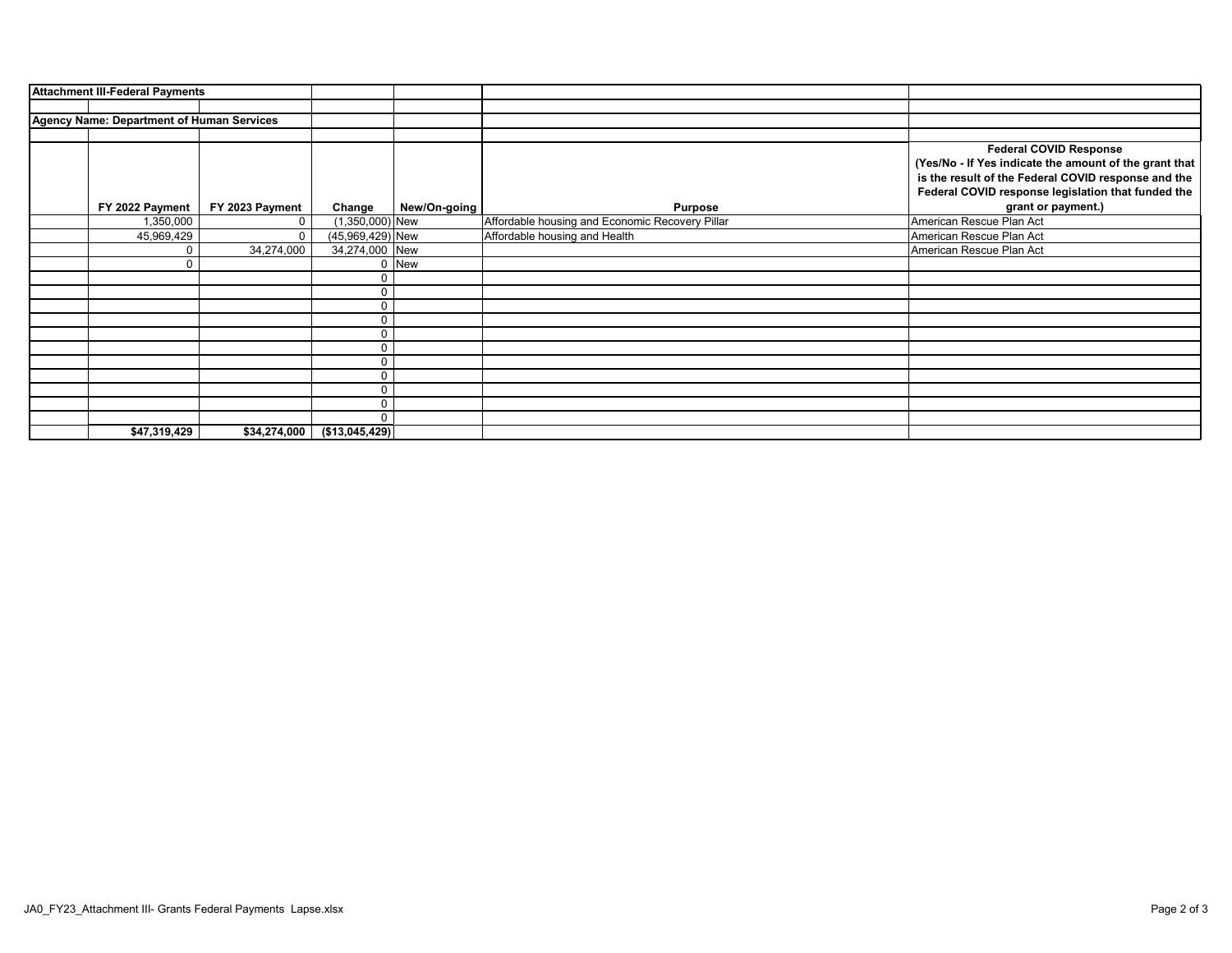| <b>Attachment III-Federal Payments</b>           |                 |                   |              |                                                 |                                                                                                                                                                                                                            |
|--------------------------------------------------|-----------------|-------------------|--------------|-------------------------------------------------|----------------------------------------------------------------------------------------------------------------------------------------------------------------------------------------------------------------------------|
|                                                  |                 |                   |              |                                                 |                                                                                                                                                                                                                            |
| <b>Agency Name: Department of Human Services</b> |                 |                   |              |                                                 |                                                                                                                                                                                                                            |
|                                                  |                 |                   |              |                                                 |                                                                                                                                                                                                                            |
| FY 2022 Payment                                  | FY 2023 Payment | Change            | New/On-going | <b>Purpose</b>                                  | <b>Federal COVID Response</b><br>(Yes/No - If Yes indicate the amount of the grant that<br>is the result of the Federal COVID response and the<br>Federal COVID response legislation that funded the<br>grant or payment.) |
| 1,350,000                                        | 0               | $(1,350,000)$ New |              | Affordable housing and Economic Recovery Pillar | American Rescue Plan Act                                                                                                                                                                                                   |
| 45,969,429                                       | 0               | (45,969,429) New  |              | Affordable housing and Health                   | American Rescue Plan Act                                                                                                                                                                                                   |
| 0                                                | 34,274,000      | 34,274,000 New    |              |                                                 | American Rescue Plan Act                                                                                                                                                                                                   |
| 0                                                |                 |                   | 0 New        |                                                 |                                                                                                                                                                                                                            |
|                                                  |                 |                   |              |                                                 |                                                                                                                                                                                                                            |
|                                                  |                 | $\Omega$          |              |                                                 |                                                                                                                                                                                                                            |
|                                                  |                 | $\Omega$          |              |                                                 |                                                                                                                                                                                                                            |
|                                                  |                 | $\Omega$          |              |                                                 |                                                                                                                                                                                                                            |
|                                                  |                 | $\Omega$          |              |                                                 |                                                                                                                                                                                                                            |
|                                                  |                 | $\Omega$          |              |                                                 |                                                                                                                                                                                                                            |
|                                                  |                 | $\Omega$          |              |                                                 |                                                                                                                                                                                                                            |
|                                                  |                 | $\Omega$          |              |                                                 |                                                                                                                                                                                                                            |
|                                                  |                 | $\Omega$          |              |                                                 |                                                                                                                                                                                                                            |
|                                                  |                 | $\Omega$          |              |                                                 |                                                                                                                                                                                                                            |
|                                                  |                 | $\Omega$          |              |                                                 |                                                                                                                                                                                                                            |
| \$47,319,429                                     | \$34,274,000    | (\$13,045,429)    |              |                                                 |                                                                                                                                                                                                                            |